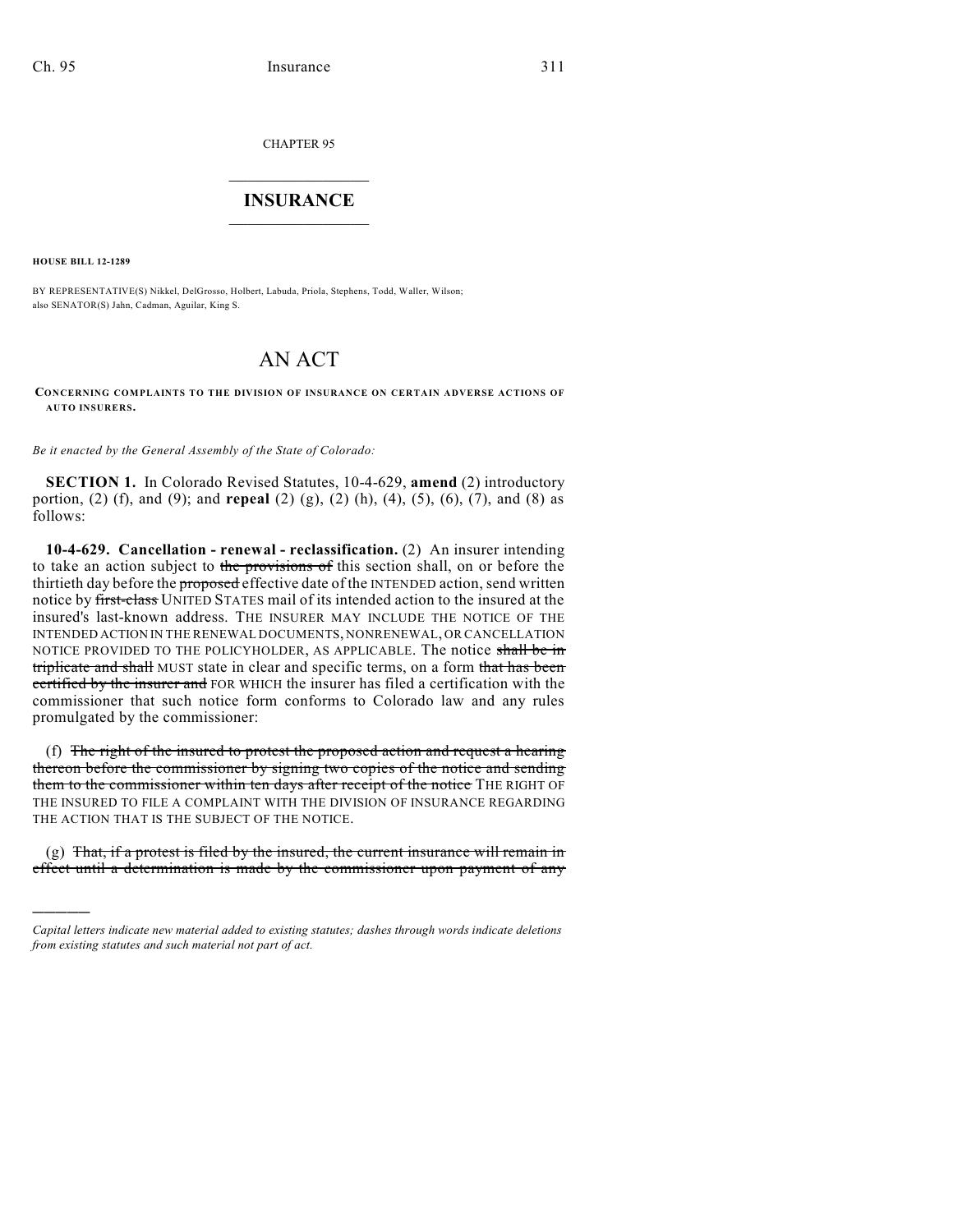CHAPTER 95

## $\mathcal{L}_\text{max}$  . The set of the set of the set of the set of the set of the set of the set of the set of the set of the set of the set of the set of the set of the set of the set of the set of the set of the set of the set **INSURANCE**  $\frac{1}{2}$  ,  $\frac{1}{2}$  ,  $\frac{1}{2}$  ,  $\frac{1}{2}$  ,  $\frac{1}{2}$  ,  $\frac{1}{2}$  ,  $\frac{1}{2}$

**HOUSE BILL 12-1289**

)))))

BY REPRESENTATIVE(S) Nikkel, DelGrosso, Holbert, Labuda, Priola, Stephens, Todd, Waller, Wilson; also SENATOR(S) Jahn, Cadman, Aguilar, King S.

## AN ACT

## **CONCERNING COMPLAINTS TO THE DIVISION OF INSURANCE ON CERTAIN ADVERSE ACTIONS OF AUTO INSURERS.**

*Be it enacted by the General Assembly of the State of Colorado:*

**SECTION 1.** In Colorado Revised Statutes, 10-4-629, **amend** (2) introductory portion, (2) (f), and (9); and **repeal** (2) (g), (2) (h), (4), (5), (6), (7), and (8) as follows:

**10-4-629. Cancellation - renewal - reclassification.** (2) An insurer intending to take an action subject to the provisions of this section shall, on or before the thirtieth day before the **proposed** effective date of the INTENDED action, send written notice by first-class UNITED STATES mail of its intended action to the insured at the insured's last-known address. THE INSURER MAY INCLUDE THE NOTICE OF THE INTENDED ACTION IN THE RENEWAL DOCUMENTS, NONRENEWAL, OR CANCELLATION NOTICE PROVIDED TO THE POLICYHOLDER, AS APPLICABLE. The notice shall be in triplicate and shall MUST state in clear and specific terms, on a form that has been certified by the insurer and FOR WHICH the insurer has filed a certification with the commissioner that such notice form conforms to Colorado law and any rules promulgated by the commissioner:

(f) The right of the insured to protest the proposed action and request a hearing thereon before the commissioner by signing two copies of the notice and sending them to the commissioner within ten days after receipt of the notice THE RIGHT OF THE INSURED TO FILE A COMPLAINT WITH THE DIVISION OF INSURANCE REGARDING THE ACTION THAT IS THE SUBJECT OF THE NOTICE.

 $(g)$  That, if a protest is filed by the insured, the current insurance will remain in effect until a determination is made by the commissioner upon payment of any

*Capital letters indicate new material added to existing statutes; dashes through words indicate deletions from existing statutes and such material not part of act.*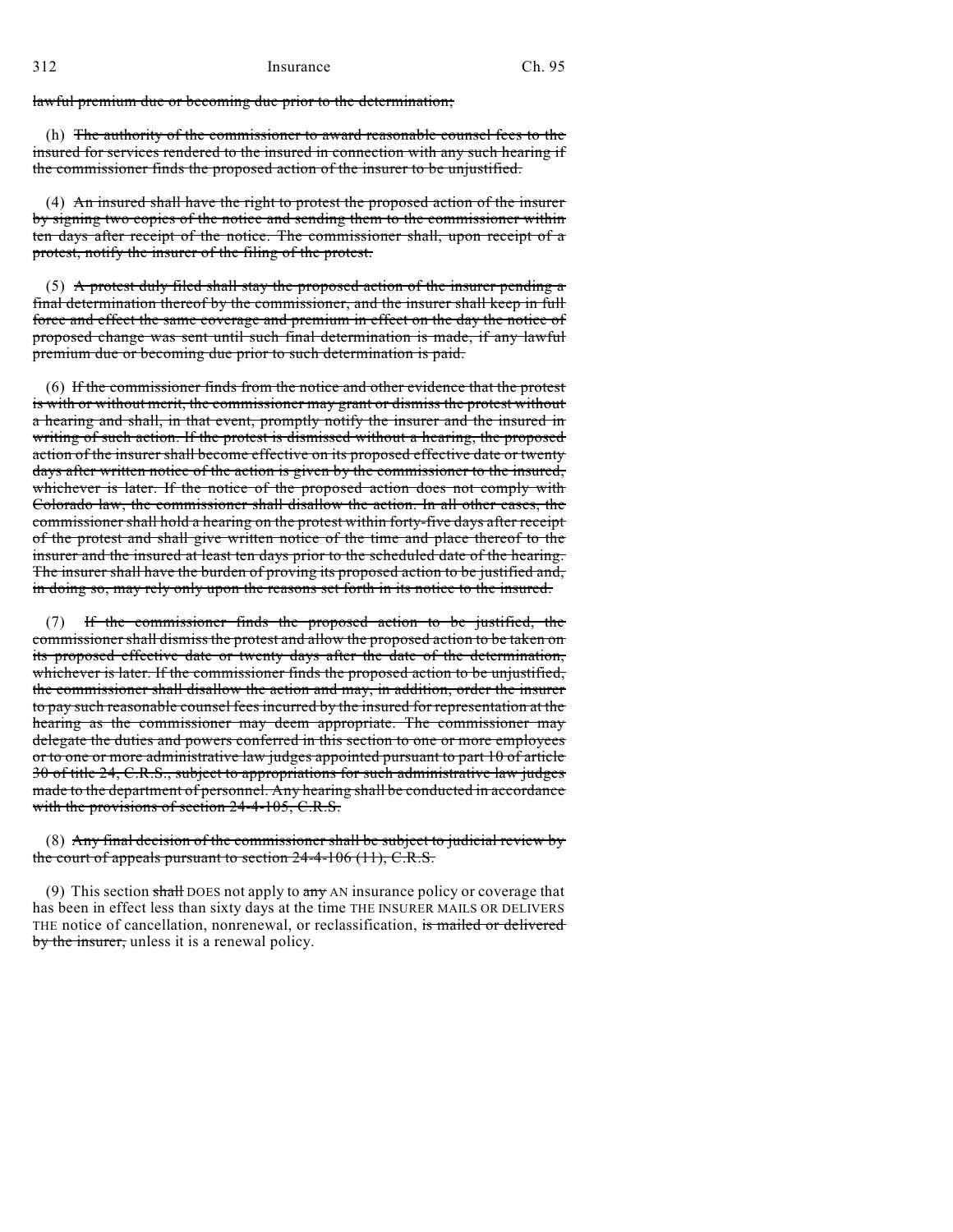lawful premium due or becoming due prior to the determination;

(h) The authority of the commissioner to award reasonable counsel fees to the insured for services rendered to the insured in connection with any such hearing if the commissioner finds the proposed action of the insurer to be unjustified.

(4) An insured shall have the right to protest the proposed action of the insurer by signing two copies of the notice and sending them to the commissioner within ten days after receipt of the notice. The commissioner shall, upon receipt of a protest, notify the insurer of the filing of the protest.

(5) A protest duly filed shall stay the proposed action of the insurer pending  $\alpha$ final determination thereof by the commissioner, and the insurer shall keep in full force and effect the same coverage and premium in effect on the day the notice of proposed change was sent until such final determination is made, if any lawful premium due or becoming due prior to such determination is paid.

(6) If the commissioner finds from the notice and other evidence that the protest is with or without merit, the commissioner may grant or dismiss the protest without a hearing and shall, in that event, promptly notify the insurer and the insured in writing of such action. If the protest is dismissed without a hearing, the proposed action of the insurer shall become effective on its proposed effective date or twenty days after written notice of the action is given by the commissioner to the insured, whichever is later. If the notice of the proposed action does not comply with Colorado law, the commissioner shall disallow the action. In all other cases, the commissioner shall hold a hearing on the protest within forty-five days after receipt of the protest and shall give written notice of the time and place thereof to the insurer and the insured at least ten days prior to the scheduled date of the hearing. The insurer shall have the burden of proving its proposed action to be justified and, in doing so, may rely only upon the reasons set forth in its notice to the insured.

(7) If the commissioner finds the proposed action to be justified, the commissioner shall dismiss the protest and allow the proposed action to be taken on its proposed effective date or twenty days after the date of the determination, whichever is later. If the commissioner finds the proposed action to be unjustified, the commissioner shall disallow the action and may, in addition, order the insurer to pay such reasonable counsel fees incurred by the insured for representation at the hearing as the commissioner may deem appropriate. The commissioner may delegate the duties and powers conferred in this section to one or more employees or to one or more administrative law judges appointed pursuant to part 10 of article 30 of title 24, C.R.S., subject to appropriations for such administrative law judges made to the department of personnel. Any hearing shall be conducted in accordance with the provisions of section 24-4-105, C.R.S.

## (8) Any final decision of the commissioner shall be subject to judicial review by the court of appeals pursuant to section 24-4-106 (11), C.R.S.

(9) This section shall DOES not apply to  $\frac{any}{x}$  AN insurance policy or coverage that has been in effect less than sixty days at the time THE INSURER MAILS OR DELIVERS THE notice of cancellation, nonrenewal, or reclassification, is mailed or delivered by the insurer, unless it is a renewal policy.